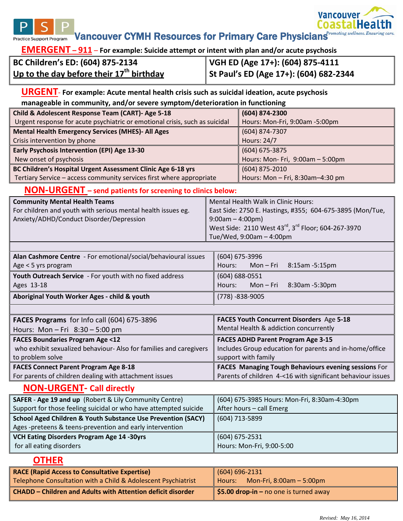

**EMERGENT – 911** – **For example: Suicide attempt or intent with plan and/or acute psychosis**

| BC Children's ED: (604) 875-2134           | VGH ED (Age 17+): (604) 875-4111       |
|--------------------------------------------|----------------------------------------|
| Up to the day before their $17th$ birthday | St Paul's ED (Age 17+): (604) 682-2344 |

#### **URGENT**- **For example: Acute mental health crisis such as suicidal ideation, acute psychosis manageable in community, and/or severe symptom/deterioration in functioning**

| Child & Adolescent Response Team (CART)- Age 5-18                           | (604) 874-2300                   |
|-----------------------------------------------------------------------------|----------------------------------|
| Urgent response for acute psychiatric or emotional crisis, such as suicidal | Hours: Mon-Fri, 9:00am -5:00pm   |
| <b>Mental Health Emergency Services (MHES)- All Ages</b>                    | (604) 874-7307                   |
| Crisis intervention by phone                                                | <b>Hours: 24/7</b>               |
| Early Psychosis Intervention (EPI) Age 13-30                                | $(604)$ 675-3875                 |
| New onset of psychosis                                                      | Hours: Mon- Fri, 9:00am - 5:00pm |
| BC Children's Hospital Urgent Assessment Clinic Age 6-18 yrs                | $(604)$ 875-2010                 |
| Tertiary Service - access community services first where appropriate        | Hours: Mon - Fri, 8:30am-4:30 pm |

# **NON-URGENT – send patients for screening to clinics below:**

| <b>Community Mental Health Teams</b>                         | Mental Health Walk in Clinic Hours:                       |
|--------------------------------------------------------------|-----------------------------------------------------------|
| For children and youth with serious mental health issues eg. | East Side: 2750 E. Hastings, #355; 604-675-3895 (Mon/Tue, |
| Anxiety/ADHD/Conduct Disorder/Depression                     | $\parallel$ 9:00am – 4:00pm)                              |
|                                                              | West Side: 2110 West 43rd, 3rd Floor; 604-267-3970        |
|                                                              | $\vert$ Tue/Wed, 9:00am – 4:00pm                          |

| Alan Cashmore Centre - For emotional/social/behavioural issues | (604) 675-3996                  |  |
|----------------------------------------------------------------|---------------------------------|--|
| Age $<$ 5 yrs program                                          | Mon-Fri 8:15am-5:15pm<br>Hours: |  |
| Youth Outreach Service - For youth with no fixed address       | $(604) 688 - 0551$              |  |
| Ages 13-18                                                     | Hours: Mon-Fri 8:30am-5:30pm    |  |
| Aboriginal Youth Worker Ages - child & youth                   | $(778) - 838 - 9005$            |  |
|                                                                |                                 |  |

| FACES Programs for Info call (604) 675-3896                        | FACES Youth Concurrent Disorders Age 5-18                   |
|--------------------------------------------------------------------|-------------------------------------------------------------|
| Hours: Mon - Fri $8:30 - 5:00$ pm                                  | Mental Health & addiction concurrently                      |
| <b>FACES Boundaries Program Age &lt;12</b>                         | <b>FACES ADHD Parent Program Age 3-15</b>                   |
| who exhibit sexualized behaviour- Also for families and caregivers | Includes Group education for parents and in-home/office     |
| to problem solve                                                   | support with family                                         |
| <b>FACES Connect Parent Program Age 8-18</b>                       | FACES Managing Tough Behaviours evening sessions For        |
| For parents of children dealing with attachment issues             | Parents of children 4-<16 with significant behaviour issues |

# **NON-URGENT- Call directly**

| <b>SAFER - Age 19 and up</b> (Robert & Lily Community Centre)           | (604) 675-3985 Hours: Mon-Fri, 8:30am-4:30pm |  |
|-------------------------------------------------------------------------|----------------------------------------------|--|
| Support for those feeling suicidal or who have attempted suicide        | After hours - call Emerg                     |  |
| <b>School Aged Children &amp; Youth Substance Use Prevention (SACY)</b> | (604) 713-5899                               |  |
| Ages -preteens & teens-prevention and early intervention                |                                              |  |
| VCH Eating Disorders Program Age 14 -30yrs                              | $(604)$ 675-2531                             |  |
| for all eating disorders                                                | Hours: Mon-Fri, 9:00-5:00                    |  |

# **OTHER**

| <b>RACE (Rapid Access to Consultative Expertise)</b>               | $(604) 696 - 2131$                                 |  |
|--------------------------------------------------------------------|----------------------------------------------------|--|
| Telephone Consultation with a Child & Adolescent Psychiatrist      | Mon-Fri, $8:00am - 5:00pm$<br>l Hours: I           |  |
| <b>CHADD - Children and Adults with Attention deficit disorder</b> | $\parallel$ \$5.00 drop-in – no one is turned away |  |